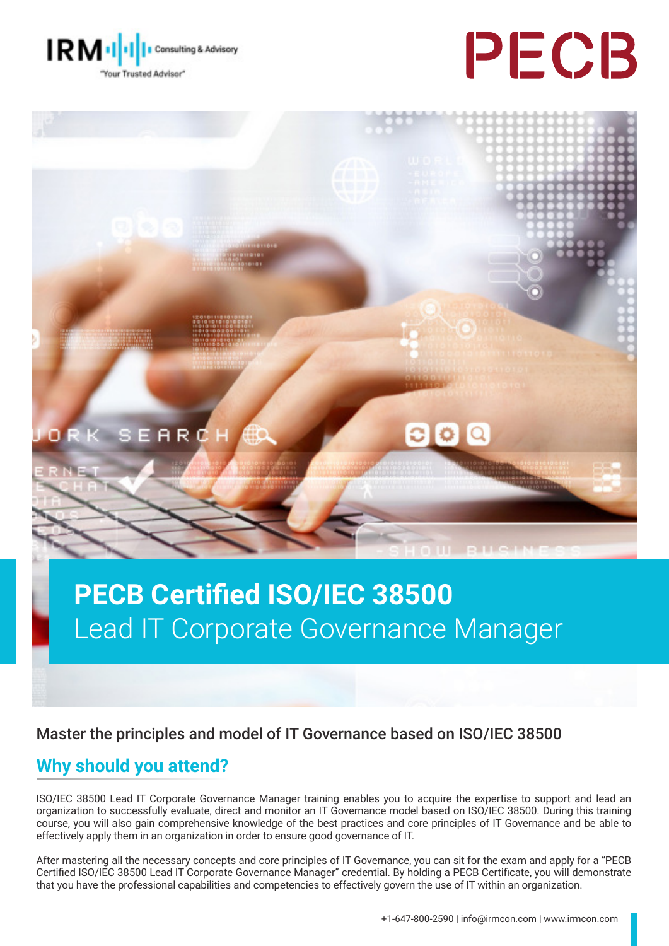





# **PECB Certified ISO/IEC 38500** Lead IT Corporate Governance Manager

#### Master the principles and model of IT Governance based on ISO/IEC 38500

#### **Why should you attend?**

ISO/IEC 38500 Lead IT Corporate Governance Manager training enables you to acquire the expertise to support and lead an organization to successfully evaluate, direct and monitor an IT Governance model based on ISO/IEC 38500. During this training course, you will also gain comprehensive knowledge of the best practices and core principles of IT Governance and be able to effectively apply them in an organization in order to ensure good governance of IT.

After mastering all the necessary concepts and core principles of IT Governance, you can sit for the exam and apply for a "PECB Certified ISO/IEC 38500 Lead IT Corporate Governance Manager" credential. By holding a PECB Certificate, you will demonstrate that you have the professional capabilities and competencies to effectively govern the use of IT within an organization.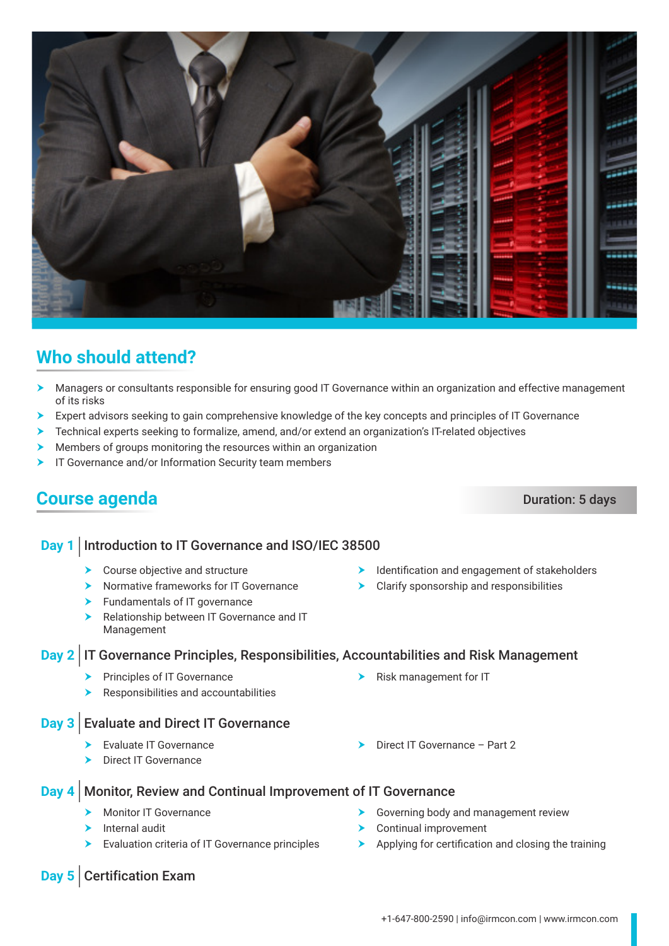- $\blacktriangleright$  Course objective and structure
- $\blacktriangleright$  Normative frameworks for IT Governance
- $\blacktriangleright$  Fundamentals of IT governance
- **h** Relationship between IT Governance and IT Management

#### **Day 2** IT Governance Principles, Responsibilities, Accountabilities and Risk Management

- $\blacktriangleright$  Principles of IT Governance
- Responsibilities and accountabilities

#### **Day 3** Evaluate and Direct IT Governance

- Evaluate IT Governance
- Direct IT Governance

#### **Day 4** Monitor, Review and Continual Improvement of IT Governance

- **Monitor IT Governance**
- $\blacktriangleright$  Internal audit

**Day 5** Certification Exam

- $\blacktriangleright$  Evaluation criteria of IT Governance principles
- $\blacktriangleright$  Governing body and management review
- $\blacktriangleright$  Continual improvement

 $\blacktriangleright$  Risk management for IT

 $\triangleright$  Direct IT Governance – Part 2

 $\blacktriangleright$  Applying for certification and closing the training

- $\blacktriangleright$  Identification and engagement of stakeholders
- $\blacktriangleright$  Clarify sponsorship and responsibilities

## **Who should attend?**

- h Managers or consultants responsible for ensuring good IT Governance within an organization and effective management of its risks
- $\triangleright$  Expert advisors seeking to gain comprehensive knowledge of the key concepts and principles of IT Governance
- $\blacktriangleright$  Technical experts seeking to formalize, amend, and/or extend an organization's IT-related objectives
- Members of groups monitoring the resources within an organization
- **FIT Governance and/or Information Security team members**

### **Course agenda** Duration: 5 days

#### **Day 1** | Introduction to IT Governance and ISO/IEC 38500

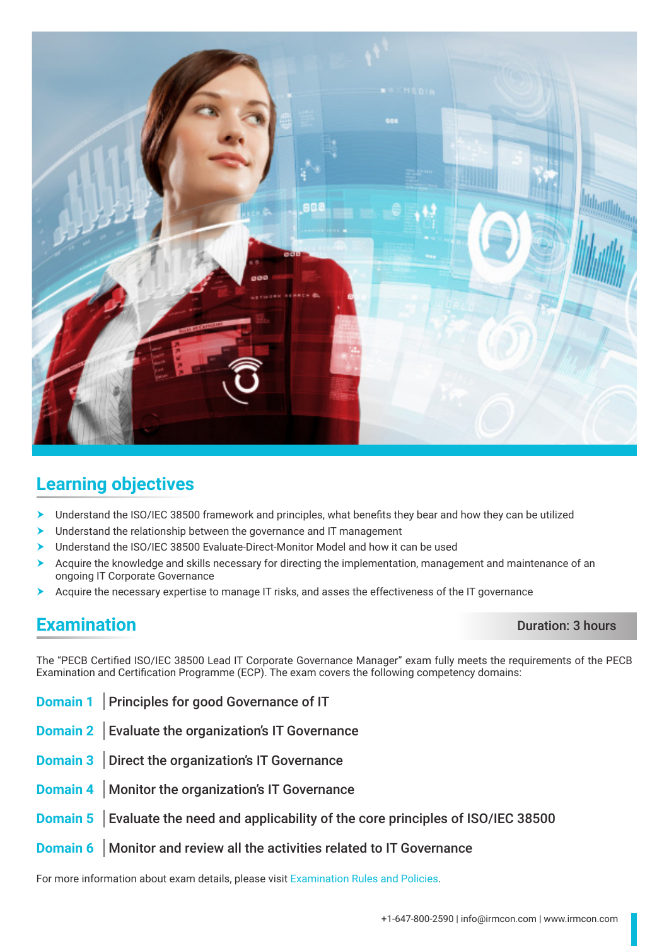

### **Learning objectives**

- Understand the ISO/IEC 38500 framework and principles, what benefits they bear and how they can be utilized
- Understand the relationship between the governance and IT management
- Understand the ISO/IEC 38500 Evaluate-Direct-Monitor Model and how it can be used
- h Acquire the knowledge and skills necessary for directing the implementation, management and maintenance of an ongoing IT Corporate Governance
- Acquire the necessary expertise to manage IT risks, and asses the effectiveness of the IT governance

#### **Examination** Duration: 3 hours

The "PECB Certified ISO/IEC 38500 Lead IT Corporate Governance Manager" exam fully meets the requirements of the PECB Examination and Certification Programme (ECP). The exam covers the following competency domains:

- **Domain 1** Principles for good Governance of IT
- **Domain 2** Evaluate the organization's IT Governance
- **Domain 3** Direct the organization's IT Governance
- **Domain 4** Monitor the organization's IT Governance
- **Domain 5** Evaluate the need and applicability of the core principles of ISO/IEC 38500
- **Domain 6** Monitor and review all the activities related to IT Governance

For more information about exam details, please visit [Examination Rules and Policies](https://pecb.com/en/examination-rules-and-policies).